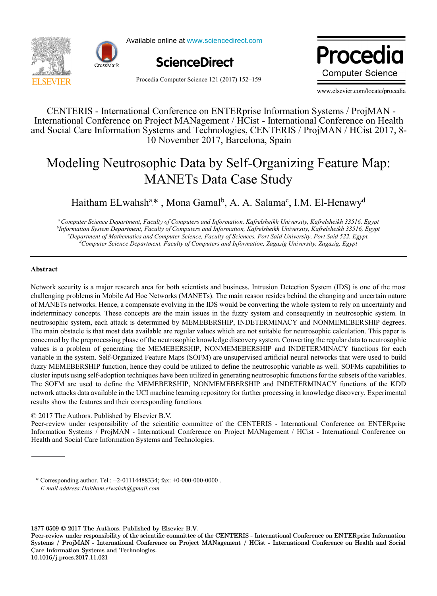



Available online at www.sciencedirect.com Available online at www.sciencedirect.com



Procedia Computer Science 121 (2017) 152-159

Procedia **Computer Science** 

www.elsevier.com/locate/procedia

10 November 2017, Barcelona, Spain CENTERIS - International Conference on ENTERprise Information Systems / ProjMAN - International Conference on Project MANagement / HCist - International Conference on Health and Social Care Information Systems and Technologies, CENTERIS / ProjMAN / HCist 2017, 8-

# Modeling Neutrosophic Data by Self-Organizing Feature Map: MANETs Data Case Study

 $M^{16}$  Monet Canalh A A Seleme<sup>c</sup> IM El Henourd  $M_{\odot}$ , prome Sumar, p.e. 11. Summar, Haitham ELwahsh<sup>a</sup>\*, Mona Gamal<sup>b</sup>, A. A. Salama<sup>c</sup>, I.M. El-Henawy<sup>d</sup>

rmation system Department, racuity of Computers and Information, кајгензпекп University, кајгензпекп 55510, е.<br><sup>c</sup>Department of Mathematics and Computer Science, Faculty of Sciences, Port Said University, Port Said 522, E *aComputer Science Department, Faculty of Computers and Information, Kafrelsheikh University, Kafrelsheikh 33516, Egypt b Information System Department, Faculty of Computers and Information, Kafrelsheikh University, Kafrelsheikh 33516, Egypt d Computer Science Department, Faculty of Computers and Information, Zagazig University, Zagazig, Egypt*

*aComputer Science Department, Faculty of Computers and Information, Kafrelsheikh University, Kafrelsheikh 33516, Egypt*

### **Abstract**

**Abstract** of MANETs networks. Hence, a compensate evolving in the IDS would be converting the whole system to rely on uncertainty and neutrosophic system, each attack is determined by MEMEBERSHIP, INDETERMINACY and NONMEMEBERSHIP degrees. The main obstacle is that most data available are regular values which are not suitable for neutrosophic calculation. This paper is concerned by the preprocessing phase of the neutrosophic knowledge discovery system. Converting the regular data to neutrosophic concerned by the preprocessing phase of the neutrosophic knowledge discovery system. Converti values is a problem of generating the MEMEBERSHIP, NONMEMEBERSHIP and INDETERMINACY functions for each variable in the system. Self-Organized Feature Maps (SOFM) are unsupervised artificial neural networks that were used to build fuzzy MEMEBERSHIP function, hence they could be utilized to define the neutrosophic variable as well. SOFMs capabilities to cluster inputs using self-adoption techniques have been utilized in generating neutrosophic functions for the subsets of the variables. values is a problem of generating the MEMEBERSHIP, NONMEMEBERSHIP and INDETERMINACY functions for each The SOFM are used to define the MEMEBERSHIP, NONMEMEBERSHIP and INDETERMINACY functions of the KDD variable in the system. See the system  $\alpha$  is the system of  $\alpha$  further measurements in the unit of  $\alpha$  further measurements of  $\alpha$  further measurements to build to build a discovery. Experiments to network attacks data available in the UCI machine learning repository for further processing in knowledge discovery. Experimental<br>results show the features and their corresponding functions cluster in the self-adoption techniques have utilized in generating neutrosophic functions for the subsets of the variables. Network security is a major research area for both scientists and business. Intrusion Detection System (IDS) is one of the most challenging problems in Mobile Ad Hoc Networks (MANETs). The main reason resides behind the changing and uncertain nature indeterminacy concepts. These concepts are the main issues in the fuzzy system and consequently in neutrosophic system. In results show the features and their corresponding functions.

# © 2017 The Authors. Published by Elsevier B.V.

*E-mail address:Haitham.elwahsh@gmail.com*

Peer-review under responsibility of the scientific committee of the CENTERIS - International Conference on ENTERprise Information Systems / ProjMAN - International Conference on Project MANagement / HCist - International Conference on Health and Social Care Information Systems and Technologies.

\* Corresponding author. Tel.: +2-01114488334; fax: +0-000-000-0000. E-mail address:Haitham.elwahsh@gmail.com<br>  $\degree$  Corresponding author. Tel.:  $\pm$ 2-01114488334; Iax:  $\pm$ 0-000-0000-0000 .

1877-0509 © 2017 The Authors. Published by Elsevier B.V.

Peer-review under responsibility of the scientific committee of the CENTERIS - International Conference on ENTERprise Information Systems / ProjMAN - International Conference on Project MANagement / HCist - International Conference on Health and Social Care Information Systems and Technologies. 10.1016/j.procs.2017.11.021 10.1016/j.procs.2017.11.02110.1016/j.procs.2017.11.021 2017 The Authors. Published by Elsevier B.V.<br>
v under responsibility of the scientific committee of the CENTERIS - International Conference on ENTERprise<br>
ProjMAN - International Conference on Project MANagement / HCist -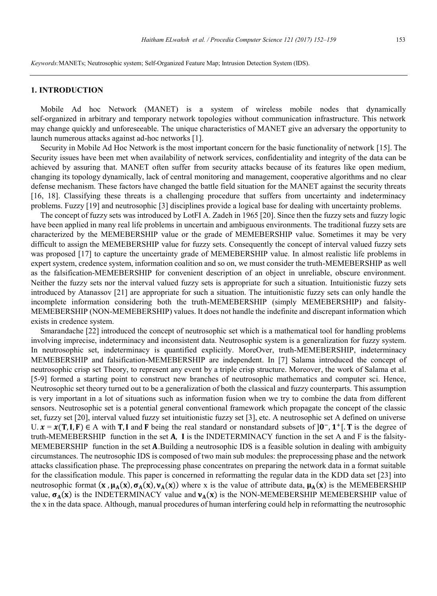*Keywords:*MANETs; Neutrosophic system; Self-Organized Feature Map; Intrusion Detection System (IDS).

#### **1. INTRODUCTION**

Mobile Ad hoc Network (MANET) is a system of wireless mobile nodes that dynamically self-organized in arbitrary and temporary network topologies without communication infrastructure. This network may change quickly and unforeseeable. The unique characteristics of MANET give an adversary the opportunity to launch numerous attacks against ad-hoc networks [1].

Security in Mobile Ad Hoc Network is the most important concern for the basic functionality of network [15]. The Security issues have been met when availability of network services, confidentiality and integrity of the data can be achieved by assuring that. MANET often suffer from security attacks because of its features like open medium, changing its topology dynamically, lack of central monitoring and management, cooperative algorithms and no clear defense mechanism. These factors have changed the battle field situation for the MANET against the security threats [16, 18]. Classifying these threats is a challenging procedure that suffers from uncertainty and indeterminacy problems. Fuzzy [19] and neutrosophic [3] disciplines provide a logical base for dealing with uncertainty problems.

The concept of fuzzy sets was introduced by LotFI A. Zadeh in 1965 [20]. Since then the fuzzy sets and fuzzy logic have been applied in many real life problems in uncertain and ambiguous environments. The traditional fuzzy sets are characterized by the MEMEBERSHIP value or the grade of MEMEBERSHIP value. Sometimes it may be very difficult to assign the MEMEBERSHIP value for fuzzy sets. Consequently the concept of interval valued fuzzy sets was proposed [17] to capture the uncertainty grade of MEMEBERSHIP value. In almost realistic life problems in expert system, credence system, information coalition and so on, we must consider the truth-MEMEBERSHIP as well as the falsification-MEMEBERSHIP for convenient description of an object in unreliable, obscure environment. Neither the fuzzy sets nor the interval valued fuzzy sets is appropriate for such a situation. Intuitionistic fuzzy sets introduced by Atanassov [21] are appropriate for such a situation. The intuitionistic fuzzy sets can only handle the incomplete information considering both the truth-MEMEBERSHIP (simply MEMEBERSHIP) and falsity-MEMEBERSHIP (NON-MEMEBERSHIP) values. It does not handle the indefinite and discrepant information which exists in credence system.

Smarandache [22] introduced the concept of neutrosophic set which is a mathematical tool for handling problems involving imprecise, indeterminacy and inconsistent data. Neutrosophic system is a generalization for fuzzy system. In neutrosophic set, indeterminacy is quantified explicitly. MoreOver, truth-MEMEBERSHIP, indeterminacy MEMEBERSHIP and falsification-MEMEBERSHIP are independent. In [7] Salama introduced the concept of neutrosophic crisp set Theory, to represent any event by a triple crisp structure. Moreover, the work of Salama et al. [5-9] formed a starting point to construct new branches of neutrosophic mathematics and computer sci. Hence, Neutrosophic set theory turned out to be a generalization of both the classical and fuzzy counterparts. This assumption is very important in a lot of situations such as information fusion when we try to combine the data from different sensors. Neutrosophic set is a potential general conventional framework which propagate the concept of the classic set, fuzzy set [20], interval valued fuzzy set intuitionistic fuzzy set [3], etc. A neutrosophic set A defined on universe U.  $x = x(T, I, F) \in A$  with T, I and F being the real standard or nonstandard subsets of  $]0^-$ ,  $1^+$ [. T is the degree of truth-MEMEBERSHIP function in the set  $A$ ,  $I$  is the INDETERMINACY function in the set  $A$  and  $F$  is the falsity-MEMEBERSHIP function in the set A.Building a neutrosophic IDS is a feasible solution in dealing with ambiguity circumstances. The neutrosophic IDS is composed of two main sub modules: the preprocessing phase and the network attacks classification phase. The preprocessing phase concentrates on preparing the network data in a format suitable for the classification module. This paper is concerned in reformatting the regular data in the KDD data set [23] into neutrosophic format  $(x, \mu_A(x), \sigma_A(x), v_A(x))$  where x is the value of attribute data,  $\mu_A(x)$  is the MEMEBERSHIP value,  $\sigma_A(x)$  is the INDETERMINACY value and  $v_A(x)$  is the NON-MEMEBERSHIP MEMEBERSHIP value of the x in the data space. Although, manual procedures of human interfering could help in reformatting the neutrosophic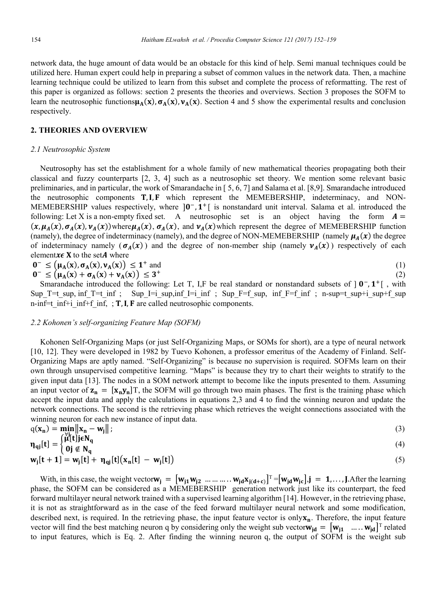network data, the huge amount of data would be an obstacle for this kind of help. Semi manual techniques could be utilized here. Human expert could help in preparing a subset of common values in the network data. Then, a machine learning technique could be utilized to learn from this subset and complete the process of reformatting. The rest of this paper is organized as follows: section 2 presents the theories and overviews. Section 3 proposes the SOFM to learn the neutrosophic functions $\mu_A(x)$ ,  $\sigma_A(x)$ ,  $\nu_A(x)$ . Section 4 and 5 show the experimental results and conclusion respectively.

#### **2. THEORIES AND OVERVIEW**

#### *2.1 Neutrosophic System*

Neutrosophy has set the establishment for a whole family of new mathematical theories propagating both their classical and fuzzy counterparts [2, 3, 4] such as a neutrosophic set theory. We mention some relevant basic preliminaries, and in particular, the work of Smarandache in [ 5, 6, 7] and Salama et al. [8,9]. Smarandache introduced the neutrosophic components  $T, I, F$  which represent the MEMEBERSHIP, indeterminacy, and NON-MEMEBERSHIP values respectively, where  $]0^-, 1^+[$  is nonstandard unit interval. Salama et al. introduced the following: Let X is a non-empty fixed set. A neutrosophic set is an object having the form  $A =$  $(x, \mu_A(x), \sigma_A(x), \nu_A(x))$ where $\mu_A(x), \sigma_A(x)$ , and  $\nu_A(x)$ which represent the degree of MEMEBERSHIP function (namely), the degree of indeterminacy (namely), and the degree of NON-MEMEBERSHIP (namely  $\mu_A(x)$  the degree of indeterminacy namely  $(\sigma_A(x))$  and the degree of non-member ship (namely  $v_A(x)$ ) respectively of each element $x \in X$  to the setA where

$$
0^- \leq (\mu_A(x), \sigma_A(x), \nu_A(x)) \leq 1^+ \text{ and } \tag{1}
$$

$$
0^- \leq \left(\mu_A(x) + \sigma_A(x) + \nu_A(x)\right) \leq 3^+ \tag{2}
$$

Smarandache introduced the following: Let T, I,F be real standard or nonstandard subsets of  $] 0^-, 1^+]$ , with Sup T=t sup, inf T=t inf ; Sup I=i sup, inf I=i inf ; Sup F=f sup, inf F=f inf ; n-sup=t sup+i\_sup+f\_sup n-inf=t inf+i inf+f inf, ; **T**, **I**, **F** are called neutrosophic components.

# *2.2 Kohonen's self-organizing Feature Map (SOFM)*

Kohonen Self-Organizing Maps (or just Self-Organizing Maps, or SOMs for short), are a type of neural network [10, 12]. They were developed in 1982 by Tuevo Kohonen, a professor emeritus of the Academy of Finland. Self-Organizing Maps are aptly named. "Self-Organizing" is because no supervision is required. SOFMs learn on their own through unsupervised competitive learning. "Maps" is because they try to chart their weights to stratify to the given input data [13]. The nodes in a SOM network attempt to become like the inputs presented to them. Assuming an input vector of  $z_n = [x_n y_n]T$ , the SOFM will go through two main phases. The first is the training phase which accept the input data and apply the calculations in equations 2,3 and 4 to find the winning neuron and update the network connections. The second is the retrieving phase which retrieves the weight connections associated with the winning neuron for each new instance of input data.

$$
q(\mathbf{x}_n) = \min_{\substack{\text{[v]} \mid \text{[t] is } \mathbf{N} }} \|\mathbf{x}_n - \mathbf{w}_j\| \tag{3}
$$

$$
\eta_{qj}[t] = \begin{cases} \text{min}_{q} & (4) \\ 0j \notin N_q & \end{cases}
$$

$$
\mathbf{w}_j[t+1] = \mathbf{w}_j[t] + \eta_{qj}[t] (\mathbf{x}_n[t] - \mathbf{w}_j[t])
$$
\n(5)

With, in this case, the weight vector $w_j = [w_{j1}w_{j2} \dots \dots \dots \dots w_{jd}x_{j(d+c)}]^T = [w_{jd}w_{jc}]$ ,  $j = 1, ..., J$ . After the learning phase, the SOFM can be considered as a MEMEBERSHIP generation network just like its counterpart, the feed forward multilayer neural network trained with a supervised learning algorithm [14]. However, in the retrieving phase, it is not as straightforward as in the case of the feed forward multilayer neural network and some modification, described next, is required. In the retrieving phase, the input feature vector is only $\mathbf{x}_n$ . Therefore, the input feature vector will find the best matching neuron q by considering only the weight sub vector $w_{jd} = [w_{j1} \dots w_{jd}]^T$  related to input features, which is Eq. 2. After finding the winning neuron q, the output of SOFM is the weight sub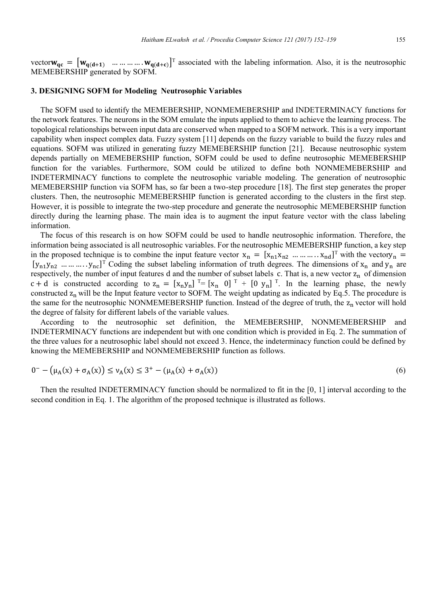vector  $w_{qc} = [w_{q(d+1)} \dots \dots \dots \dots w_{q(d+c)}]^T$  associated with the labeling information. Also, it is the neutrosophic MEMEBERSHIP generated by SOFM.

#### **3. DESIGNING SOFM for Modeling Neutrosophic Variables**

The SOFM used to identify the MEMEBERSHIP, NONMEMEBERSHIP and INDETERMINACY functions for the network features. The neurons in the SOM emulate the inputs applied to them to achieve the learning process. The topological relationships between input data are conserved when mapped to a SOFM network. This is a very important capability when inspect complex data. Fuzzy system [11] depends on the fuzzy variable to build the fuzzy rules and equations. SOFM was utilized in generating fuzzy MEMEBERSHIP function [21]. Because neutrosophic system depends partially on MEMEBERSHIP function, SOFM could be used to define neutrosophic MEMEBERSHIP function for the variables. Furthermore, SOM could be utilized to define both NONMEMEBERSHIP and INDETERMINACY functions to complete the neutrosophic variable modeling. The generation of neutrosophic MEMEBERSHIP function via SOFM has, so far been a two-step procedure [18]. The first step generates the proper clusters. Then, the neutrosophic MEMEBERSHIP function is generated according to the clusters in the first step. However, it is possible to integrate the two-step procedure and generate the neutrosophic MEMEBERSHIP function directly during the learning phase. The main idea is to augment the input feature vector with the class labeling information.

The focus of this research is on how SOFM could be used to handle neutrosophic information. Therefore, the information being associated is all neutrosophic variables. For the neutrosophic MEMEBERSHIP function, a key step in the proposed technique is to combine the input feature vector  $x_n = [x_{n1}x_{n2} \dots x_{nn}]$  with the vectory<sub>n</sub> =  $[y_{n1}y_{n2} \dots \dots \dots y_{nc}]^T$  Coding the subset labeling information of truth degrees. The dimensions of  $x_n$  and  $y_n$  are respectively, the number of input features d and the number of subset labels c. That is, a new vector  $z_n$  of dimension  $c + d$  is constructed according to  $z_n = [x_n y_n]$ <sup>T</sup>=  $[x_n \ 0]$ <sup>T</sup> +  $[0 \ y_n]$ <sup>T</sup>. In the learning phase, the newly constructed  $z_n$  will be the Input feature vector to SOFM. The weight updating as indicated by Eq.5. The procedure is the same for the neutrosophic NONMEMEBERSHIP function. Instead of the degree of truth, the  $z_n$  vector will hold the degree of falsity for different labels of the variable values.

According to the neutrosophic set definition, the MEMEBERSHIP, NONMEMEBERSHIP and INDETERMINACY functions are independent but with one condition which is provided in Eq. 2. The summation of the three values for a neutrosophic label should not exceed 3. Hence, the indeterminacy function could be defined by knowing the MEMEBERSHIP and NONMEMEBERSHIP function as follows.

$$
0^- - (\mu_A(x) + \sigma_A(x)) \le \nu_A(x) \le 3^+ - (\mu_A(x) + \sigma_A(x))
$$
\n(6)

Then the resulted INDETERMINACY function should be normalized to fit in the [0, 1] interval according to the second condition in Eq. 1. The algorithm of the proposed technique is illustrated as follows.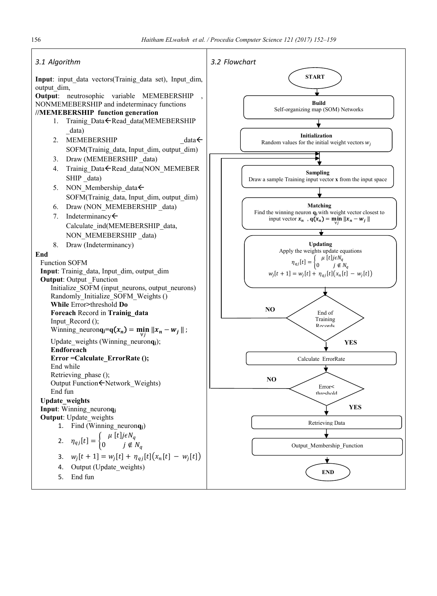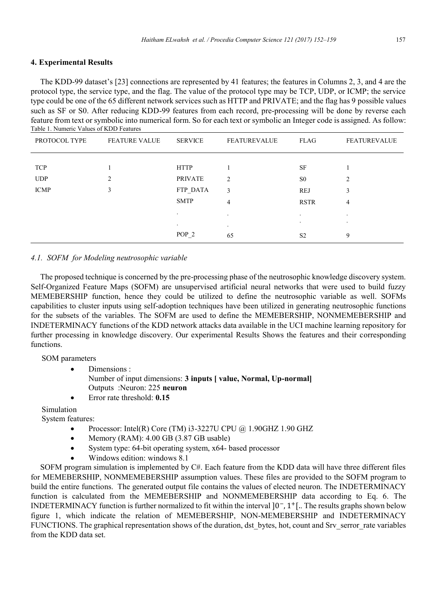# **4. Experimental Results**

The KDD-99 dataset's [23] connections are represented by 41 features; the features in Columns 2, 3, and 4 are the protocol type, the service type, and the flag. The value of the protocol type may be TCP, UDP, or ICMP; the service type could be one of the 65 different network services such as HTTP and PRIVATE; and the flag has 9 possible values such as SF or S0. After reducing KDD-99 features from each record, pre-processing will be done by reverse each feature from text or symbolic into numerical form. So for each text or symbolic an Integer code is assigned. As follow: Table 1. Numeric Values of KDD Features

| PROTOCOL TYPE | <b>FEATURE VALUE</b> | <b>SERVICE</b>   | <b>FEATUREVALUE</b> | FLAG           | <b>FEATUREVALUE</b> |
|---------------|----------------------|------------------|---------------------|----------------|---------------------|
|               |                      |                  |                     |                |                     |
| <b>TCP</b>    |                      | <b>HTTP</b>      |                     | <b>SF</b>      |                     |
| <b>UDP</b>    | 2                    | <b>PRIVATE</b>   | $\overline{2}$      | S <sub>0</sub> | 2                   |
| <b>ICMP</b>   | 3                    | FTP DATA         | 3                   | <b>REJ</b>     | 3                   |
|               |                      | <b>SMTP</b>      | 4                   | <b>RSTR</b>    | 4                   |
|               |                      | $\cdot$          | $\cdot$             | $\bullet$      | $\bullet$           |
|               |                      | $\bullet$        | $\bullet$           | $\bullet$      | $\cdot$             |
|               |                      | POP <sub>2</sub> | 65                  | S <sub>2</sub> | 9                   |

# *4.1. SOFM for Modeling neutrosophic variable*

The proposed technique is concerned by the pre-processing phase of the neutrosophic knowledge discovery system. Self-Organized Feature Maps (SOFM) are unsupervised artificial neural networks that were used to build fuzzy MEMEBERSHIP function, hence they could be utilized to define the neutrosophic variable as well. SOFMs capabilities to cluster inputs using self-adoption techniques have been utilized in generating neutrosophic functions for the subsets of the variables. The SOFM are used to define the MEMEBERSHIP, NONMEMEBERSHIP and INDETERMINACY functions of the KDD network attacks data available in the UCI machine learning repository for further processing in knowledge discovery. Our experimental Results Shows the features and their corresponding functions.

# SOM parameters

- Dimensions : Number of input dimensions: **3 inputs [ value, Normal, Up-normal]** Outputs :Neuron: 225 **neuron**
- Error rate threshold: **0.15**

Simulation

System features:

- Processor: Intel(R) Core (TM) i3-3227U CPU @ 1.90GHZ 1.90 GHZ
- Memory (RAM): 4.00 GB (3.87 GB usable)
- System type: 64-bit operating system, x64- based processor
- Windows edition: windows 8.1

SOFM program simulation is implemented by C#. Each feature from the KDD data will have three different files for MEMEBERSHIP, NONMEMEBERSHIP assumption values. These files are provided to the SOFM program to build the entire functions. The generated output file contains the values of elected neuron. The INDETERMINACY function is calculated from the MEMEBERSHIP and NONMEMEBERSHIP data according to Eq. 6. The INDETERMINACY function is further normalized to fit within the interval  $[0^-, 1^+]$ . The results graphs shown below figure 1, which indicate the relation of MEMEBERSHIP, NON-MEMEBERSHIP and INDETERMINACY FUNCTIONS. The graphical representation shows of the duration, dst\_bytes, hot, count and Srv\_serror\_rate variables from the KDD data set.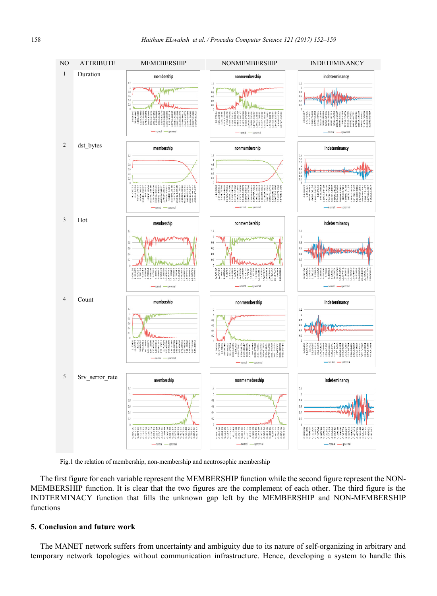

Fig.1 the relation of membership, non-membership and neutrosophic membership

The first figure for each variable represent the MEMBERSHIP function while the second figure represent the NON-MEMBERSHIP function. It is clear that the two figures are the complement of each other. The third figure is the INDTERMINACY function that fills the unknown gap left by the MEMBERSHIP and NON-MEMBERSHIP functions

#### **5. Conclusion and future work**

The MANET network suffers from uncertainty and ambiguity due to its nature of self-organizing in arbitrary and temporary network topologies without communication infrastructure. Hence, developing a system to handle this